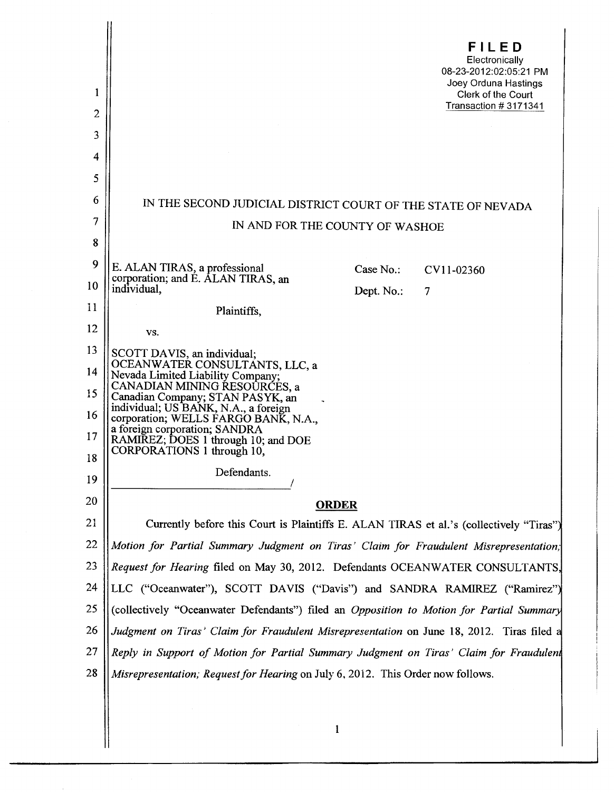| 1              | FILED<br>Electronically<br>08-23-2012:02:05:21 PM<br>Joey Orduna Hastings                 |
|----------------|-------------------------------------------------------------------------------------------|
| $\overline{c}$ | Clerk of the Court<br>Transaction #3171341                                                |
| 3              |                                                                                           |
| 4              |                                                                                           |
| 5              |                                                                                           |
| 6              | IN THE SECOND JUDICIAL DISTRICT COURT OF THE STATE OF NEVADA                              |
| 7              | IN AND FOR THE COUNTY OF WASHOE                                                           |
| 8              |                                                                                           |
| 9              | E. ALAN TIRAS, a professional<br>Case No.<br>CV11-02360                                   |
| 10             | corporation; and E. ALAN TIRAS, an<br>individual,<br>Dept. No.:<br>7                      |
| 11             | Plaintiffs,                                                                               |
| 12             | VS.                                                                                       |
| 13             | SCOTT DAVIS, an individual;                                                               |
| 14             | OCEANWATER CONSULTANTS, LLC, a<br>Nevada Limited Liability Company;                       |
| 15             | CANADIAN MINING RESOÙRCES, a<br>Canadian Company; STAN PASYK, an                          |
| 16             | individual; US BANK, N.A., a foreign<br>corporation; WELLS FARGO BANK, N.A.,              |
| 17             | a foreign corporation; SANDRA<br>RAMIREZ; DOES 1 through 10; and DOE                      |
| 18             | CORPORATIONS 1 through 10,                                                                |
| 19             | Defendants.                                                                               |
| 20             | <b>ORDER</b>                                                                              |
| 21             | Currently before this Court is Plaintiffs E. ALAN TIRAS et al.'s (collectively "Tiras")   |
| 22             | Motion for Partial Summary Judgment on Tiras' Claim for Fraudulent Misrepresentation;     |
| 23             | Request for Hearing filed on May 30, 2012. Defendants OCEANWATER CONSULTANTS,             |
| 24             | LLC ("Oceanwater"), SCOTT DAVIS ("Davis") and SANDRA RAMIREZ ("Ramirez")                  |
| 25             | (collectively "Oceanwater Defendants") filed an Opposition to Motion for Partial Summary  |
| 26             | Judgment on Tiras' Claim for Fraudulent Misrepresentation on June 18, 2012. Tiras filed a |
| 27             | Reply in Support of Motion for Partial Summary Judgment on Tiras' Claim for Fraudulent    |
| 28             | Misrepresentation; Request for Hearing on July 6, 2012. This Order now follows.           |
|                |                                                                                           |
|                | 1                                                                                         |
|                |                                                                                           |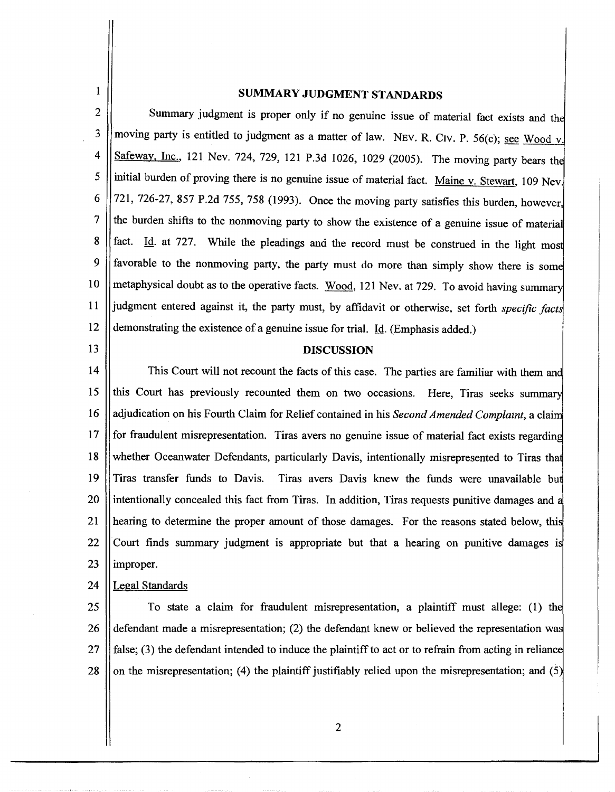1

## SUMMARY JUDGMENT STANDARDS

2 3 4 5 6 7 8 9 10 11 12 Summary judgment is proper only if no genuine issue of material fact exists and the moving party is entitled to judgment as a matter of law. NEV. R. CIV. P. 56(c); see Wood v. Safeway, Inc., 121 Nev. 724, 729, 121 P.3d 1026, 1029 (2005). The moving party bears the initial burden of proving there is no genuine issue of material fact. Maine v. Stewart, 109 Nev. 721, 726-27, 857 P.2d 755, 758 (1993). Once the moving party satisfies this burden, however, the burden shifts to the nonmoving party to show the existence of a genuine issue of materia fact. Id. at 727. While the pleadings and the record must be construed in the light most favorable to the nonmoving party, the party must do more than simply show there is some metaphysical doubt as to the operative facts. Wood, 121 Nev. at 729. To avoid having summary judgment entered against it, the party must, by affidavit or otherwise, set forth *specific facts* demonstrating the existence of a genuine issue for trial. Id. (Emphasis added.)

13

## DISCUSSION

14 This Court will not recount the facts of this case. The parties are familiar with them and 15 || this Court has previously recounted them on two occasions. Here, Tiras seeks summary 16 17 18 19 20 21 22 23 adjudication on his Fourth Claim for Relief contained in his *Second Amended Complaint,* a clai for fraudulent misrepresentation. Tiras avers no genuine issue of material fact exists regarding whether Oceanwater Defendants, particularly Davis, intentionally misrepresented to Tiras that Tiras transfer funds to Davis. Tiras avers Davis knew the funds were unavailable bu I intentionally concealed this fact from Tiras. In addition, Tiras requests punitive damages and a hearing to determine the proper amount of those damages. For the reasons stated below, this Court finds summary judgment is appropriate but that a hearing on punitive damages i improper.

## 24 Legal Standards

25 26 27 28 To state a claim for fraudulent misrepresentation, a plaintiff must allege: (1) th defendant made a misrepresentation; (2) the defendant knew or believed the representation wa false; (3) the defendant intended to induce the plaintiff to act or to refrain from acting in reliance on the misrepresentation; (4) the plaintiff justifiably relied upon the misrepresentation; and (5

2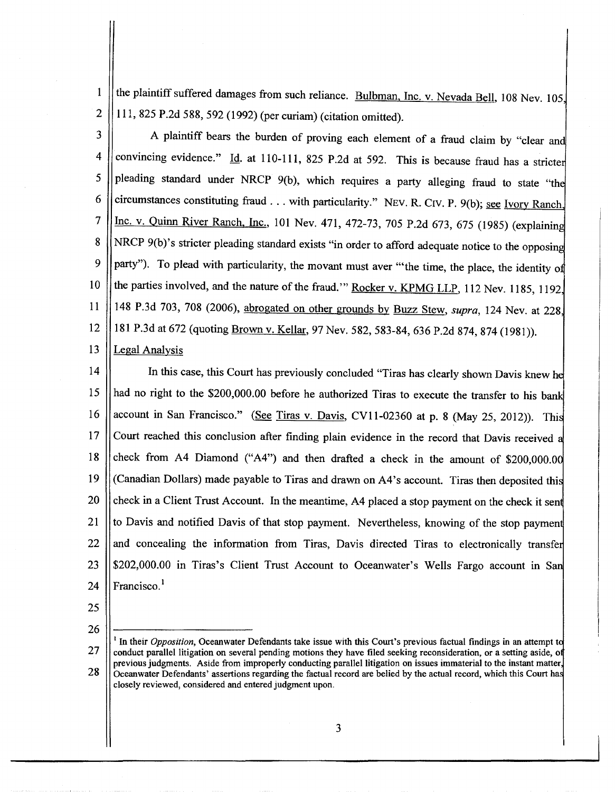2 the plaintiff suffered damages from such reliance. Bulbman, Inc. v. Nevada Bell, 108 Nev. 105, 111, 825 P.2d 588, 592 (1992) (per curiam) (citation omitted).

 $\vert$ 

3 4 5 6 7 8 9 10 11 12 13 A plaintiff bears the burden of proving each element of a fraud claim by "clear an convincing evidence." Id. at 110-111, 825 P.2d at 592. This is because fraud has a stricter pleading standard under NRCP 9(b), which requires a party alleging fraud to state "the circumstances constituting fraud . . . with particularity." NEV. R. CIV. P. 9(b); see Ivory Ranch, Inc. v. Quinn River Ranch, Inc., 101 Nev. 471, 472-73, 705 P.2d 673, 675 (1985) (explaining NRCP 9(b)'s stricter pleading standard exists "in order to afford adequate notice to the opposing party"). To plead with particularity, the movant must aver "the time, the place, the identity of the parties involved, and the nature of the fraud." Rocker v. KPMG LLP, 112 Nev. 1185, 1192, 148 P.3d 703, 708 (2006), abrogated on other grounds by Buzz Stew, *supra,* 124 Nev. at 228 181 P.3d at 672 (quoting Brown v. Kellar, 97 Nev. 582, 583-84, 636 P.2d 874, 874 (1981)). Legal Analysis

14 15 16 17 18 19 20 21 22 23 24 In this case, this Court has previously concluded "Tiras has clearly shown Davis knew he  $\mathbf{I}$ had no right to the \$200,000.00 before he authorized Tiras to execute the transfer to his bank account in San Francisco." (See Tiras v. Davis, CV11-02360 at p. 8 (May 25, 2012)). This Court reached this conclusion after finding plain evidence in the record that Davis received check from A4 Diamond ("A4") and then drafted a check in the amount of \$200,000.0 (Canadian Dollars) made payable to Tiras and drawn on A4's account. Tiras then deposited thi check in a Client Trust Account. In the meantime, A4 placed a stop payment on the check it sent to Davis and notified Davis of that stop payment. Nevertheless, knowing of the stop paymen and concealing the information from Tiras, Davis directed Tiras to electronically transfe \$202,000.00 in Tiras's Client Trust Account to Oceanwater's Wells Fargo account in San Francisco.<sup>1</sup>

25

1

26

<sup>27</sup>  28 <sup>1</sup> In their *Opposition*, Oceanwater Defendants take issue with this Court's previous factual findings in an attempt to conduct parallel litigation on several pending motions they have filed seeking reconsideration, or a setting aside, o previous judgments. Aside from improperly conducting parallel litigation on issues immaterial to the instant matter, Oceanwater Defendants' assertions regarding the factual record are behed by the actual record, whtch this Court ha closely reviewed, considered and entered judgment upon.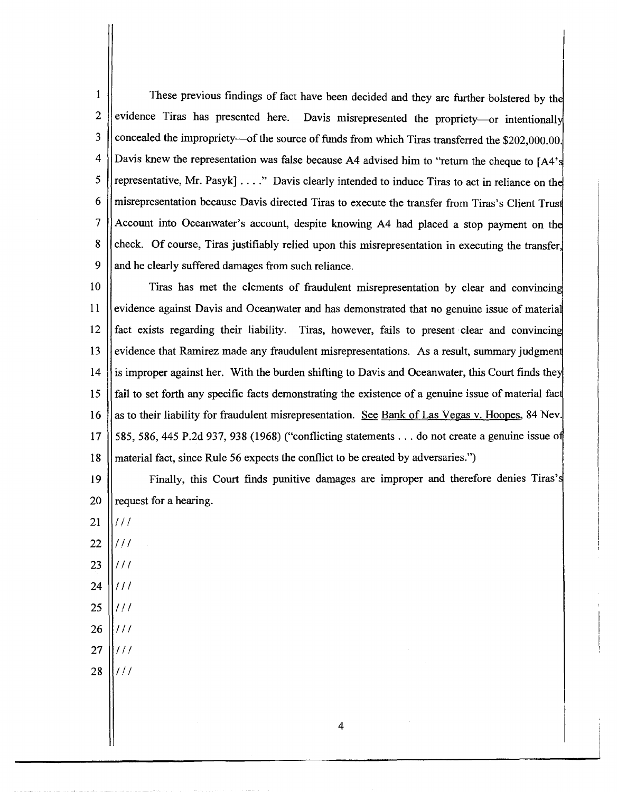$\mathbf{1}$ These previous findings of fact have been decided and they are further bolstered by the 2 evidence Tiras has presented here. Davis misrepresented the propriety---or intentionally 3 concealed the impropriety--of the source of funds from which Tiras transferred the \$202,000.00. Davis knew the representation was false because A4 advised him to "return the cheque to [A4's] 4 representative, Mr. Pasyk]...." Davis clearly intended to induce Tiras to act in reliance on the 5 6 misrepresentation because Davis directed Tiras to execute the transfer from Tiras's Client Trusj 7 Account into Oceanwater's account, despite knowing A4 had placed a stop payment on th check. Of course, Tiras justifiably relied upon this misrepresentation in executing the transfer, and he clearly suffered damages from such reliance. 8 9

10 11 Tiras has met the elements of fraudulent misrepresentation by clear and convincin i evidence against Davis and Oceanwater and has demonstrated that no genuine issue of materia  $12$  ||fact exists regarding their liability. Tiras, however, fails to present clear and convincing 13 14 15 16 17 18 evidence that Ramirez made any fraudulent misrepresentations. As a result, summary judgment is improper against her. With the burden shifting to Davis and Oceanwater, this Court finds the fail to set forth any specific facts demonstrating the existence of a genuine issue of material fact as to their liability for fraudulent misrepresentation. See Bank of Las Vegas v. Hoopes, 84 Nev. 585, 586, 445 P.2d 937, 938 (1968) ("conflicting statements . . . do not create a genuine issue of material fact, since Rule 56 expects the conflict to be created by adversaries.")

19 20 Finally, this Court finds punitive damages are improper and therefore denies Tiras's request for a hearing.

- 21  $111$
- 22  $11<sup>1</sup>$
- 23 IIi
- 24 IIi
- 25 IIi
- 26 *iii*
- 27 *iii*
- 28  $111$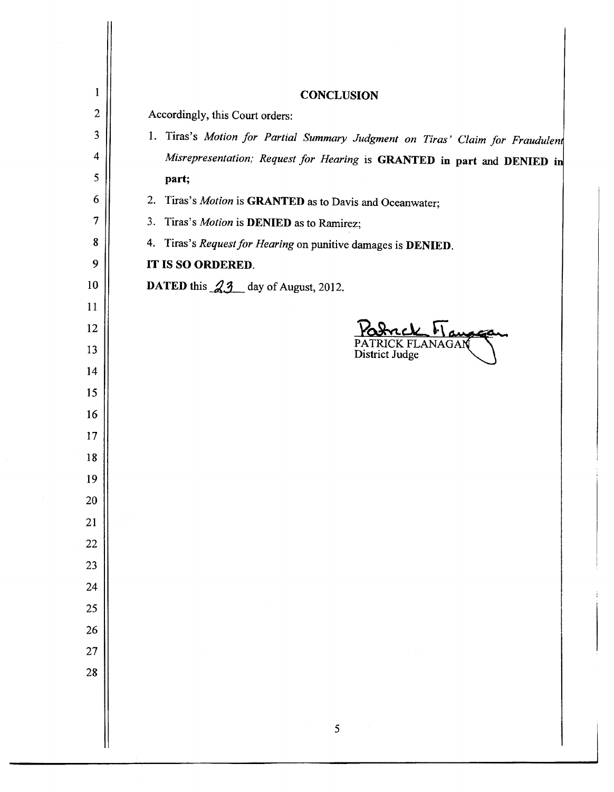| $\mathbf{1}$   | <b>CONCLUSION</b>                                                             |
|----------------|-------------------------------------------------------------------------------|
| $\overline{2}$ | Accordingly, this Court orders:                                               |
| 3              | 1. Tiras's Motion for Partial Summary Judgment on Tiras' Claim for Fraudulent |
| 4              | Misrepresentation; Request for Hearing is GRANTED in part and DENIED in       |
| 5              | part;                                                                         |
| 6              | 2. Tiras's Motion is GRANTED as to Davis and Oceanwater;                      |
| 7              | 3. Tiras's Motion is DENIED as to Ramirez;                                    |
| 8              | 4. Tiras's Request for Hearing on punitive damages is DENIED.                 |
| 9              | IT IS SO ORDERED.                                                             |
| 10             | DATED this 23 day of August, 2012.                                            |
| 11             |                                                                               |
| 12             | ack Managa                                                                    |
| 13             | <b>RICK FLANAGAN</b><br>District Judge                                        |
| 14             |                                                                               |
| 15             |                                                                               |
| 16             |                                                                               |
| 17             |                                                                               |
| 18             |                                                                               |
| 19             |                                                                               |
| 20             |                                                                               |
| 21             |                                                                               |
| 22             |                                                                               |
| 23             |                                                                               |
| 24             |                                                                               |
| 25             |                                                                               |
| 26<br>27       |                                                                               |
| 28             |                                                                               |
|                |                                                                               |
|                |                                                                               |
|                | 5                                                                             |
|                |                                                                               |